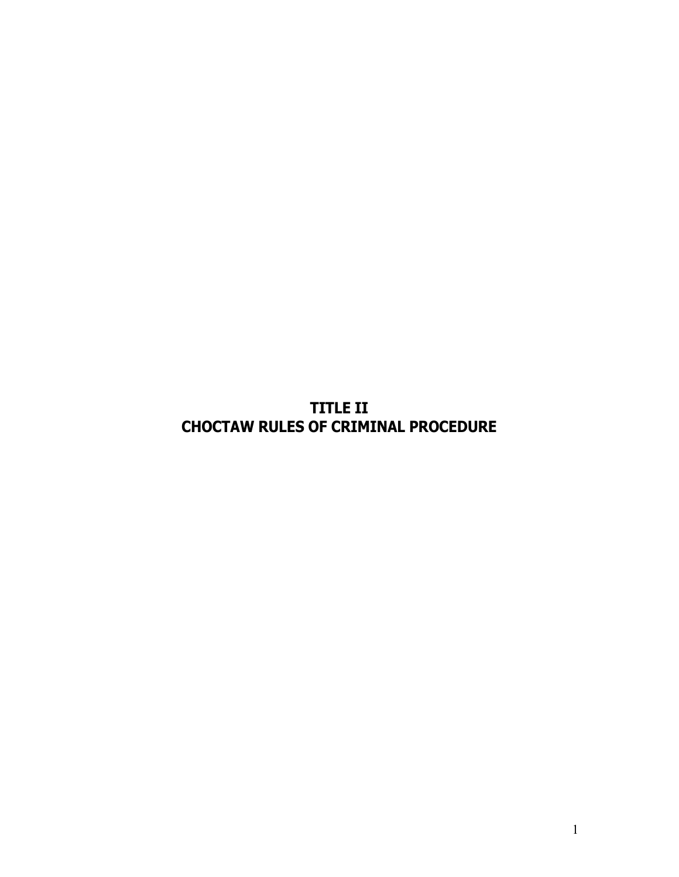**TITLE II CHOCTAW RULES OF CRIMINAL PROCEDURE**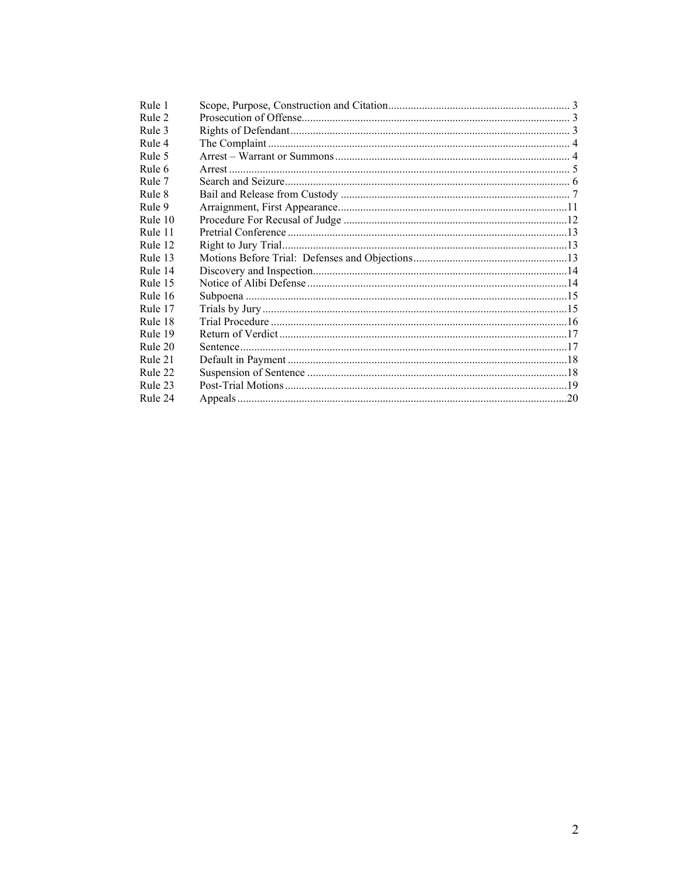| Rule 1  |  |
|---------|--|
| Rule 2  |  |
| Rule 3  |  |
| Rule 4  |  |
| Rule 5  |  |
| Rule 6  |  |
| Rule 7  |  |
| Rule 8  |  |
| Rule 9  |  |
| Rule 10 |  |
| Rule 11 |  |
| Rule 12 |  |
| Rule 13 |  |
| Rule 14 |  |
| Rule 15 |  |
| Rule 16 |  |
| Rule 17 |  |
| Rule 18 |  |
| Rule 19 |  |
| Rule 20 |  |
| Rule 21 |  |
| Rule 22 |  |
| Rule 23 |  |
| Rule 24 |  |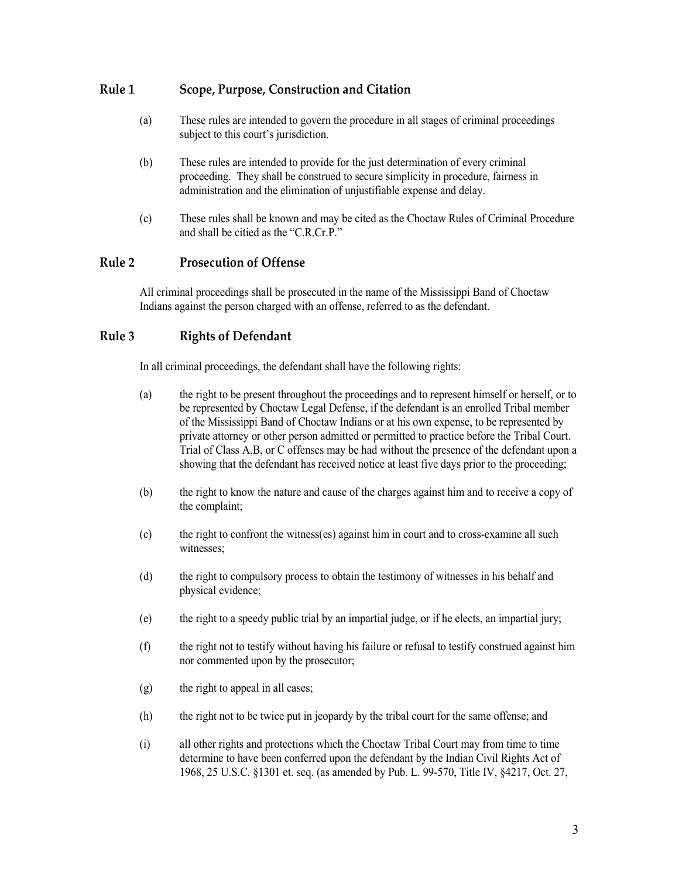## <span id="page-2-0"></span>**Rule 1 Scope, Purpose, Construction and Citation**

- (a) These rules are intended to govern the procedure in all stages of criminal proceedings subject to this court's jurisdiction.
- (b) These rules are intended to provide for the just determination of every criminal proceeding. They shall be construed to secure simplicity in procedure, fairness in administration and the elimination of unjustifiable expense and delay.
- (c) These rules shall be known and may be cited as the Choctaw Rules of Criminal Procedure and shall be citied as the "C.R.Cr.P."

## <span id="page-2-1"></span>**Rule 2 Prosecution of Offense**

All criminal proceedings shall be prosecuted in the name of the Mississippi Band of Choctaw Indians against the person charged with an offense, referred to as the defendant.

### <span id="page-2-2"></span>**Rule 3 Rights of Defendant**

In all criminal proceedings, the defendant shall have the following rights:

- (a) the right to be present throughout the proceedings and to represent himself or herself, or to be represented by Choctaw Legal Defense, if the defendant is an enrolled Tribal member of the Mississippi Band of Choctaw Indians or at his own expense, to be represented by private attorney or other person admitted or permitted to practice before the Tribal Court. Trial of Class A,B, or C offenses may be had without the presence of the defendant upon a showing that the defendant has received notice at least five days prior to the proceeding;
- (b) the right to know the nature and cause of the charges against him and to receive a copy of the complaint;
- (c) the right to confront the witness(es) against him in court and to cross-examine all such witnesses;
- (d) the right to compulsory process to obtain the testimony of witnesses in his behalf and physical evidence;
- (e) the right to a speedy public trial by an impartial judge, or if he elects, an impartial jury;
- (f) the right not to testify without having his failure or refusal to testify construed against him nor commented upon by the prosecutor;
- (g) the right to appeal in all cases;
- (h) the right not to be twice put in jeopardy by the tribal court for the same offense; and
- (i) all other rights and protections which the Choctaw Tribal Court may from time to time determine to have been conferred upon the defendant by the Indian Civil Rights Act of 1968, 25 U.S.C. §1301 et. seq. (as amended by Pub. L. 99-570, Title IV, §4217, Oct. 27,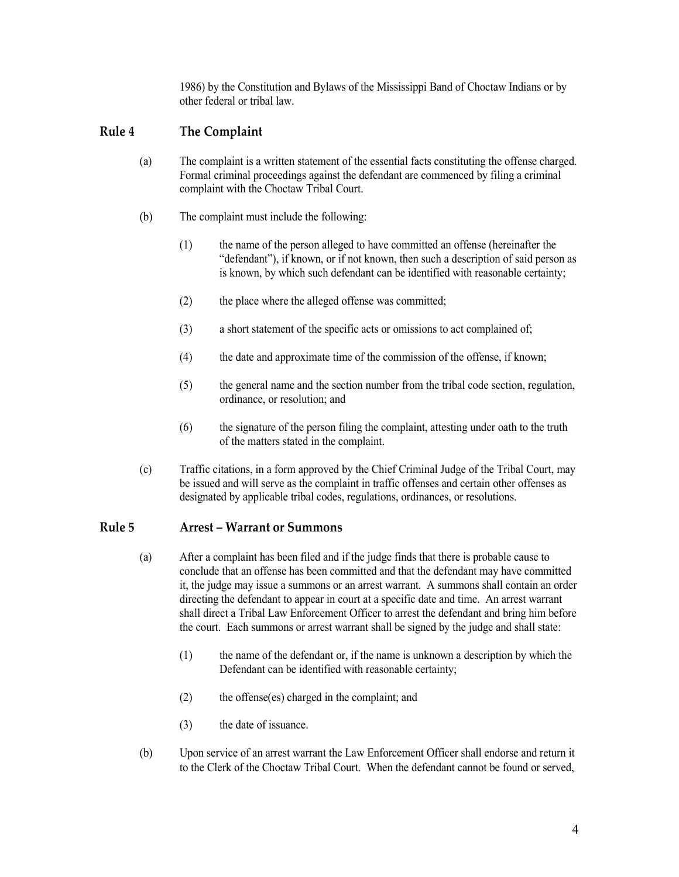1986) by the Constitution and Bylaws of the Mississippi Band of Choctaw Indians or by other federal or tribal law.

## <span id="page-3-0"></span>**Rule 4 The Complaint**

- (a) The complaint is a written statement of the essential facts constituting the offense charged. Formal criminal proceedings against the defendant are commenced by filing a criminal complaint with the Choctaw Tribal Court.
- (b) The complaint must include the following:
	- (1) the name of the person alleged to have committed an offense (hereinafter the "defendant"), if known, or if not known, then such a description of said person as is known, by which such defendant can be identified with reasonable certainty;
	- (2) the place where the alleged offense was committed;
	- (3) a short statement of the specific acts or omissions to act complained of;
	- (4) the date and approximate time of the commission of the offense, if known;
	- (5) the general name and the section number from the tribal code section, regulation, ordinance, or resolution; and
	- (6) the signature of the person filing the complaint, attesting under oath to the truth of the matters stated in the complaint.
- (c) Traffic citations, in a form approved by the Chief Criminal Judge of the Tribal Court, may be issued and will serve as the complaint in traffic offenses and certain other offenses as designated by applicable tribal codes, regulations, ordinances, or resolutions.

### <span id="page-3-1"></span>**Rule 5 Arrest – Warrant or Summons**

- (a) After a complaint has been filed and if the judge finds that there is probable cause to conclude that an offense has been committed and that the defendant may have committed it, the judge may issue a summons or an arrest warrant. A summons shall contain an order directing the defendant to appear in court at a specific date and time. An arrest warrant shall direct a Tribal Law Enforcement Officer to arrest the defendant and bring him before the court. Each summons or arrest warrant shall be signed by the judge and shall state:
	- (1) the name of the defendant or, if the name is unknown a description by which the Defendant can be identified with reasonable certainty;
	- (2) the offense(es) charged in the complaint; and
	- (3) the date of issuance.
- (b) Upon service of an arrest warrant the Law Enforcement Officer shall endorse and return it to the Clerk of the Choctaw Tribal Court. When the defendant cannot be found or served,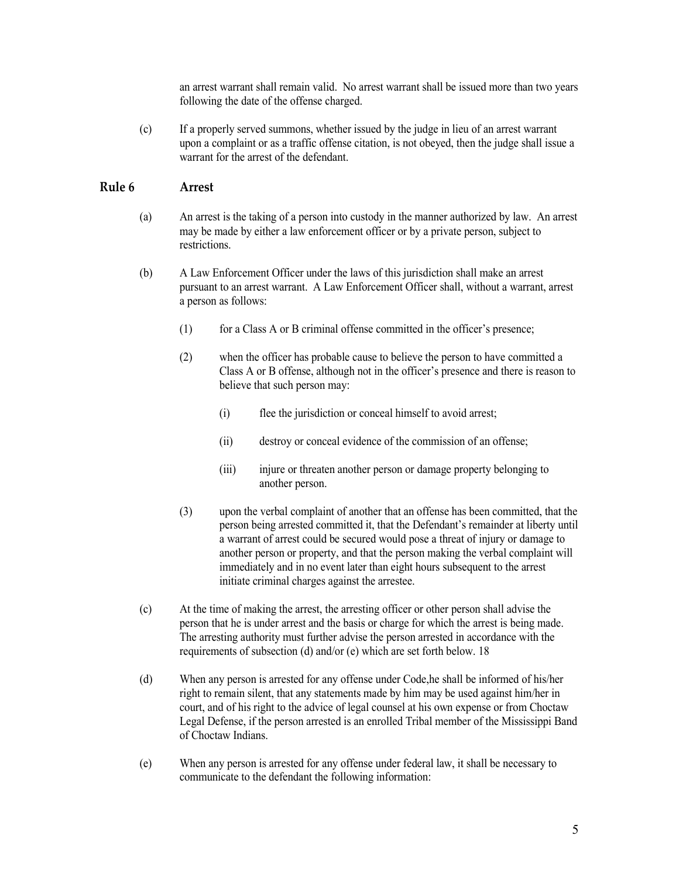an arrest warrant shall remain valid. No arrest warrant shall be issued more than two years following the date of the offense charged.

(c) If a properly served summons, whether issued by the judge in lieu of an arrest warrant upon a complaint or as a traffic offense citation, is not obeyed, then the judge shall issue a warrant for the arrest of the defendant.

### <span id="page-4-0"></span>**Rule 6 Arrest**

- (a) An arrest is the taking of a person into custody in the manner authorized by law. An arrest may be made by either a law enforcement officer or by a private person, subject to restrictions.
- (b) A Law Enforcement Officer under the laws of this jurisdiction shall make an arrest pursuant to an arrest warrant. A Law Enforcement Officer shall, without a warrant, arrest a person as follows:
	- (1) for a Class A or B criminal offense committed in the officer's presence;
	- (2) when the officer has probable cause to believe the person to have committed a Class A or B offense, although not in the officer's presence and there is reason to believe that such person may:
		- (i) flee the jurisdiction or conceal himself to avoid arrest;
		- (ii) destroy or conceal evidence of the commission of an offense;
		- (iii) injure or threaten another person or damage property belonging to another person.
	- (3) upon the verbal complaint of another that an offense has been committed, that the person being arrested committed it, that the Defendant's remainder at liberty until a warrant of arrest could be secured would pose a threat of injury or damage to another person or property, and that the person making the verbal complaint will immediately and in no event later than eight hours subsequent to the arrest initiate criminal charges against the arrestee.
- (c) At the time of making the arrest, the arresting officer or other person shall advise the person that he is under arrest and the basis or charge for which the arrest is being made. The arresting authority must further advise the person arrested in accordance with the requirements of subsection (d) and/or (e) which are set forth below. 18
- (d) When any person is arrested for any offense under Code,he shall be informed of his/her right to remain silent, that any statements made by him may be used against him/her in court, and of his right to the advice of legal counsel at his own expense or from Choctaw Legal Defense, if the person arrested is an enrolled Tribal member of the Mississippi Band of Choctaw Indians.
- (e) When any person is arrested for any offense under federal law, it shall be necessary to communicate to the defendant the following information: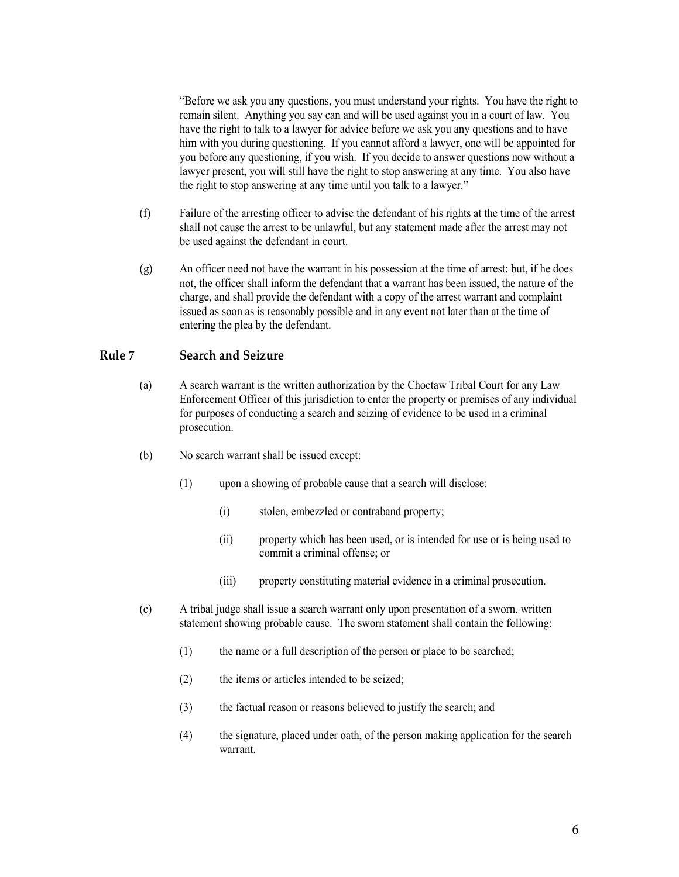"Before we ask you any questions, you must understand your rights. You have the right to remain silent. Anything you say can and will be used against you in a court of law. You have the right to talk to a lawyer for advice before we ask you any questions and to have him with you during questioning. If you cannot afford a lawyer, one will be appointed for you before any questioning, if you wish. If you decide to answer questions now without a lawyer present, you will still have the right to stop answering at any time. You also have the right to stop answering at any time until you talk to a lawyer."

- (f) Failure of the arresting officer to advise the defendant of his rights at the time of the arrest shall not cause the arrest to be unlawful, but any statement made after the arrest may not be used against the defendant in court.
- (g) An officer need not have the warrant in his possession at the time of arrest; but, if he does not, the officer shall inform the defendant that a warrant has been issued, the nature of the charge, and shall provide the defendant with a copy of the arrest warrant and complaint issued as soon as is reasonably possible and in any event not later than at the time of entering the plea by the defendant.

## <span id="page-5-0"></span>**Rule 7 Search and Seizure**

- (a) A search warrant is the written authorization by the Choctaw Tribal Court for any Law Enforcement Officer of this jurisdiction to enter the property or premises of any individual for purposes of conducting a search and seizing of evidence to be used in a criminal prosecution.
- (b) No search warrant shall be issued except:
	- (1) upon a showing of probable cause that a search will disclose:
		- (i) stolen, embezzled or contraband property;
		- (ii) property which has been used, or is intended for use or is being used to commit a criminal offense; or
		- (iii) property constituting material evidence in a criminal prosecution.
- (c) A tribal judge shall issue a search warrant only upon presentation of a sworn, written statement showing probable cause. The sworn statement shall contain the following:
	- (1) the name or a full description of the person or place to be searched;
	- (2) the items or articles intended to be seized;
	- (3) the factual reason or reasons believed to justify the search; and
	- (4) the signature, placed under oath, of the person making application for the search warrant.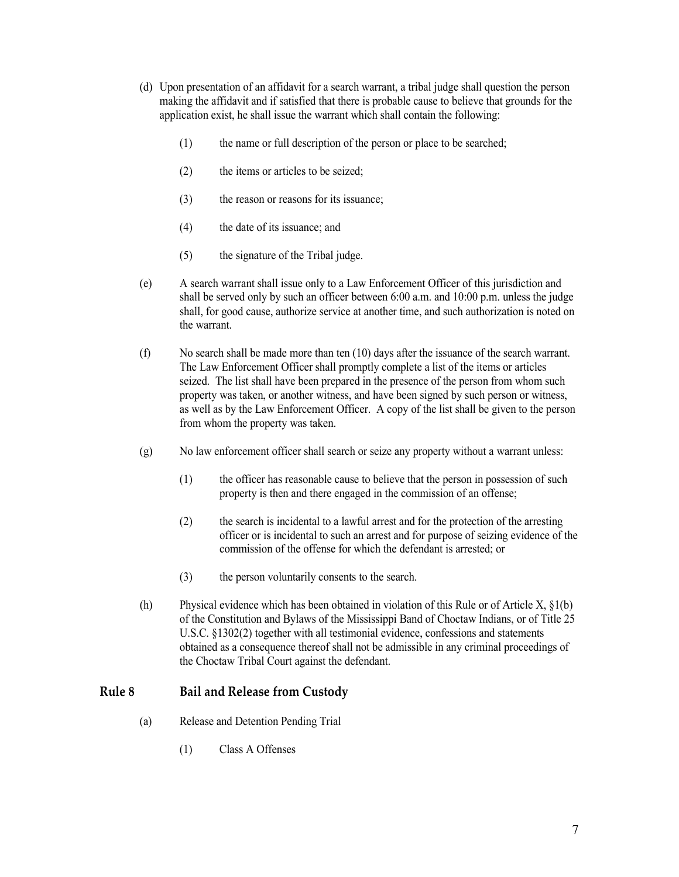- (d) Upon presentation of an affidavit for a search warrant, a tribal judge shall question the person making the affidavit and if satisfied that there is probable cause to believe that grounds for the application exist, he shall issue the warrant which shall contain the following:
	- (1) the name or full description of the person or place to be searched;
	- (2) the items or articles to be seized;
	- (3) the reason or reasons for its issuance;
	- (4) the date of its issuance; and
	- (5) the signature of the Tribal judge.
- (e) A search warrant shall issue only to a Law Enforcement Officer of this jurisdiction and shall be served only by such an officer between 6:00 a.m. and 10:00 p.m. unless the judge shall, for good cause, authorize service at another time, and such authorization is noted on the warrant.
- (f) No search shall be made more than ten (10) days after the issuance of the search warrant. The Law Enforcement Officer shall promptly complete a list of the items or articles seized. The list shall have been prepared in the presence of the person from whom such property was taken, or another witness, and have been signed by such person or witness, as well as by the Law Enforcement Officer. A copy of the list shall be given to the person from whom the property was taken.
- (g) No law enforcement officer shall search or seize any property without a warrant unless:
	- (1) the officer has reasonable cause to believe that the person in possession of such property is then and there engaged in the commission of an offense;
	- (2) the search is incidental to a lawful arrest and for the protection of the arresting officer or is incidental to such an arrest and for purpose of seizing evidence of the commission of the offense for which the defendant is arrested; or
	- (3) the person voluntarily consents to the search.
- (h) Physical evidence which has been obtained in violation of this Rule or of Article X, §1(b) of the Constitution and Bylaws of the Mississippi Band of Choctaw Indians, or of Title 25 U.S.C. §1302(2) together with all testimonial evidence, confessions and statements obtained as a consequence thereof shall not be admissible in any criminal proceedings of the Choctaw Tribal Court against the defendant.

### <span id="page-6-0"></span>**Rule 8 Bail and Release from Custody**

- (a) Release and Detention Pending Trial
	- (1) Class A Offenses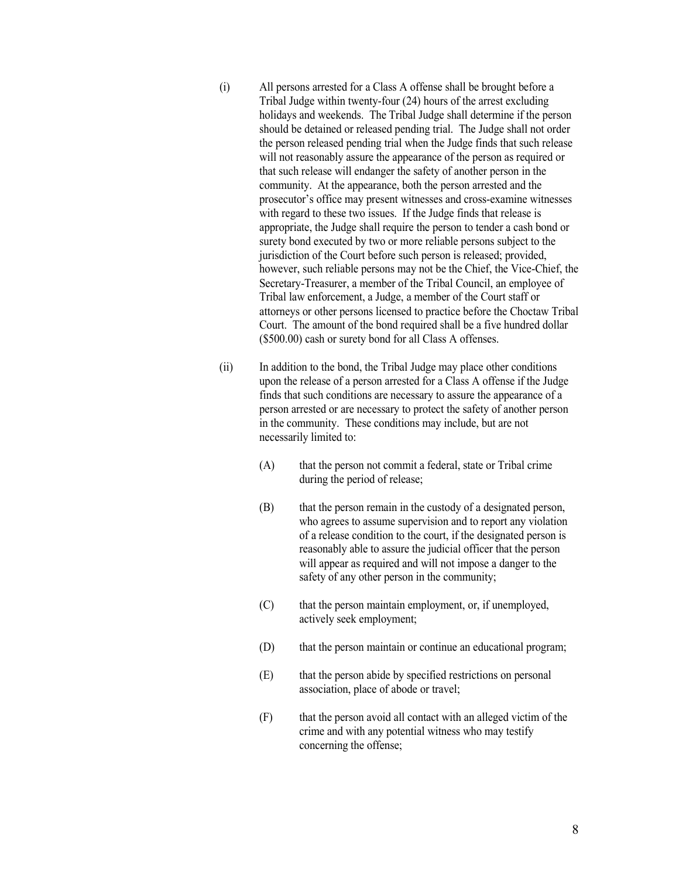- (i) All persons arrested for a Class A offense shall be brought before a Tribal Judge within twenty-four (24) hours of the arrest excluding holidays and weekends. The Tribal Judge shall determine if the person should be detained or released pending trial. The Judge shall not order the person released pending trial when the Judge finds that such release will not reasonably assure the appearance of the person as required or that such release will endanger the safety of another person in the community. At the appearance, both the person arrested and the prosecutor's office may present witnesses and cross-examine witnesses with regard to these two issues. If the Judge finds that release is appropriate, the Judge shall require the person to tender a cash bond or surety bond executed by two or more reliable persons subject to the jurisdiction of the Court before such person is released; provided, however, such reliable persons may not be the Chief, the Vice-Chief, the Secretary-Treasurer, a member of the Tribal Council, an employee of Tribal law enforcement, a Judge, a member of the Court staff or attorneys or other persons licensed to practice before the Choctaw Tribal Court. The amount of the bond required shall be a five hundred dollar (\$500.00) cash or surety bond for all Class A offenses.
- (ii) In addition to the bond, the Tribal Judge may place other conditions upon the release of a person arrested for a Class A offense if the Judge finds that such conditions are necessary to assure the appearance of a person arrested or are necessary to protect the safety of another person in the community. These conditions may include, but are not necessarily limited to:
	- (A) that the person not commit a federal, state or Tribal crime during the period of release;
	- (B) that the person remain in the custody of a designated person, who agrees to assume supervision and to report any violation of a release condition to the court, if the designated person is reasonably able to assure the judicial officer that the person will appear as required and will not impose a danger to the safety of any other person in the community;
	- (C) that the person maintain employment, or, if unemployed, actively seek employment;
	- (D) that the person maintain or continue an educational program;
	- (E) that the person abide by specified restrictions on personal association, place of abode or travel;
	- (F) that the person avoid all contact with an alleged victim of the crime and with any potential witness who may testify concerning the offense;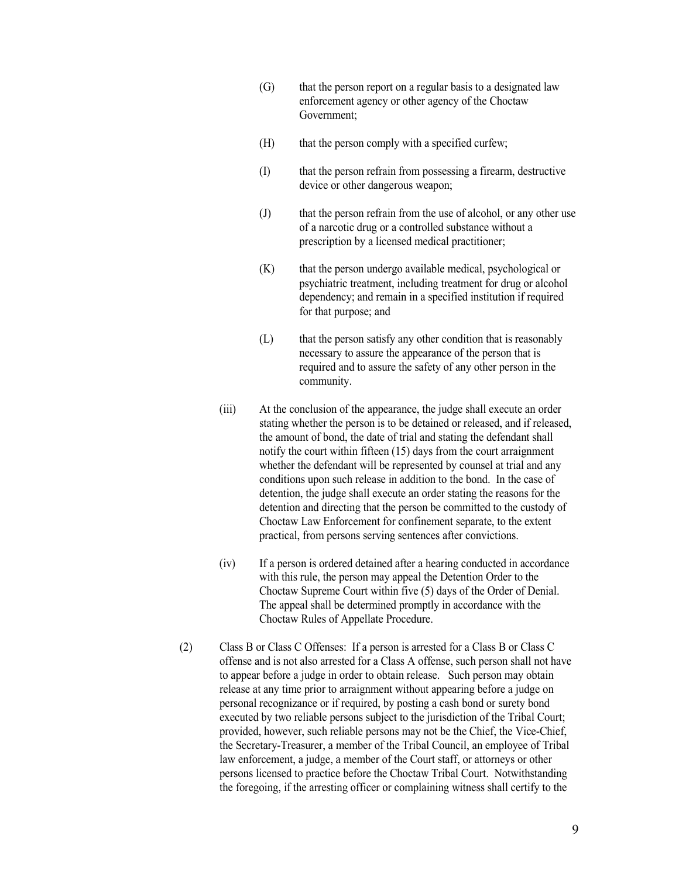- (G) that the person report on a regular basis to a designated law enforcement agency or other agency of the Choctaw Government;
- (H) that the person comply with a specified curfew;
- (I) that the person refrain from possessing a firearm, destructive device or other dangerous weapon;
- (J) that the person refrain from the use of alcohol, or any other use of a narcotic drug or a controlled substance without a prescription by a licensed medical practitioner;
- (K) that the person undergo available medical, psychological or psychiatric treatment, including treatment for drug or alcohol dependency; and remain in a specified institution if required for that purpose; and
- (L) that the person satisfy any other condition that is reasonably necessary to assure the appearance of the person that is required and to assure the safety of any other person in the community.
- (iii) At the conclusion of the appearance, the judge shall execute an order stating whether the person is to be detained or released, and if released, the amount of bond, the date of trial and stating the defendant shall notify the court within fifteen (15) days from the court arraignment whether the defendant will be represented by counsel at trial and any conditions upon such release in addition to the bond. In the case of detention, the judge shall execute an order stating the reasons for the detention and directing that the person be committed to the custody of Choctaw Law Enforcement for confinement separate, to the extent practical, from persons serving sentences after convictions.
- (iv) If a person is ordered detained after a hearing conducted in accordance with this rule, the person may appeal the Detention Order to the Choctaw Supreme Court within five (5) days of the Order of Denial. The appeal shall be determined promptly in accordance with the Choctaw Rules of Appellate Procedure.
- (2) Class B or Class C Offenses: If a person is arrested for a Class B or Class C offense and is not also arrested for a Class A offense, such person shall not have to appear before a judge in order to obtain release. Such person may obtain release at any time prior to arraignment without appearing before a judge on personal recognizance or if required, by posting a cash bond or surety bond executed by two reliable persons subject to the jurisdiction of the Tribal Court; provided, however, such reliable persons may not be the Chief, the Vice-Chief, the Secretary-Treasurer, a member of the Tribal Council, an employee of Tribal law enforcement, a judge, a member of the Court staff, or attorneys or other persons licensed to practice before the Choctaw Tribal Court. Notwithstanding the foregoing, if the arresting officer or complaining witness shall certify to the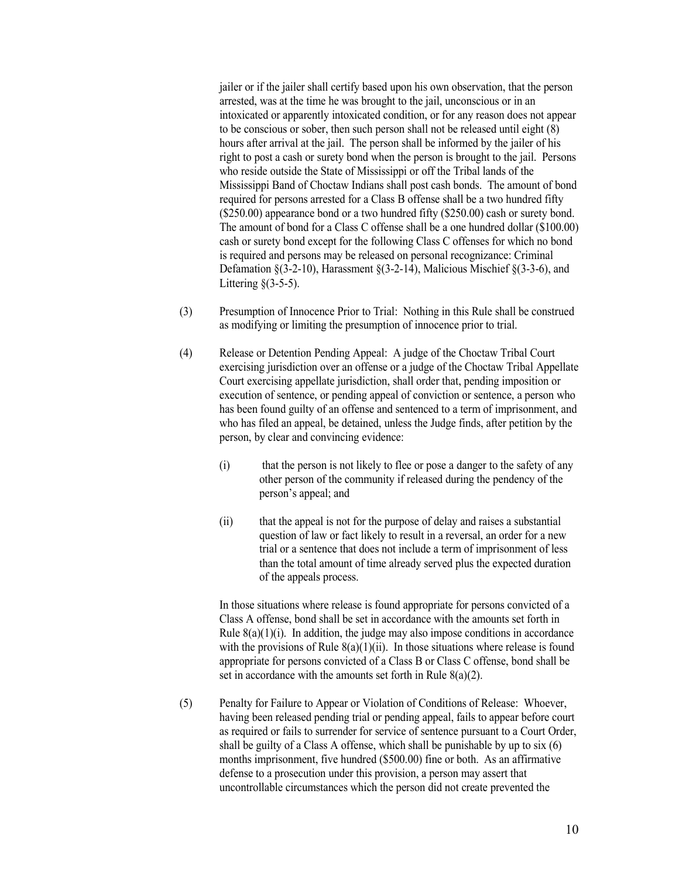jailer or if the jailer shall certify based upon his own observation, that the person arrested, was at the time he was brought to the jail, unconscious or in an intoxicated or apparently intoxicated condition, or for any reason does not appear to be conscious or sober, then such person shall not be released until eight (8) hours after arrival at the jail. The person shall be informed by the jailer of his right to post a cash or surety bond when the person is brought to the jail. Persons who reside outside the State of Mississippi or off the Tribal lands of the Mississippi Band of Choctaw Indians shall post cash bonds. The amount of bond required for persons arrested for a Class B offense shall be a two hundred fifty (\$250.00) appearance bond or a two hundred fifty (\$250.00) cash or surety bond. The amount of bond for a Class C offense shall be a one hundred dollar (\$100.00) cash or surety bond except for the following Class C offenses for which no bond is required and persons may be released on personal recognizance: Criminal Defamation  $\S(3-2-10)$ , Harassment  $\S(3-2-14)$ , Malicious Mischief  $\S(3-3-6)$ , and Littering  $(3-5-5)$ .

- (3) Presumption of Innocence Prior to Trial: Nothing in this Rule shall be construed as modifying or limiting the presumption of innocence prior to trial.
- (4) Release or Detention Pending Appeal: A judge of the Choctaw Tribal Court exercising jurisdiction over an offense or a judge of the Choctaw Tribal Appellate Court exercising appellate jurisdiction, shall order that, pending imposition or execution of sentence, or pending appeal of conviction or sentence, a person who has been found guilty of an offense and sentenced to a term of imprisonment, and who has filed an appeal, be detained, unless the Judge finds, after petition by the person, by clear and convincing evidence:
	- (i) that the person is not likely to flee or pose a danger to the safety of any other person of the community if released during the pendency of the person's appeal; and
	- (ii) that the appeal is not for the purpose of delay and raises a substantial question of law or fact likely to result in a reversal, an order for a new trial or a sentence that does not include a term of imprisonment of less than the total amount of time already served plus the expected duration of the appeals process.

In those situations where release is found appropriate for persons convicted of a Class A offense, bond shall be set in accordance with the amounts set forth in Rule  $8(a)(1)(i)$ . In addition, the judge may also impose conditions in accordance with the provisions of Rule  $8(a)(1)(ii)$ . In those situations where release is found appropriate for persons convicted of a Class B or Class C offense, bond shall be set in accordance with the amounts set forth in Rule  $8(a)(2)$ .

(5) Penalty for Failure to Appear or Violation of Conditions of Release: Whoever, having been released pending trial or pending appeal, fails to appear before court as required or fails to surrender for service of sentence pursuant to a Court Order, shall be guilty of a Class A offense, which shall be punishable by up to six (6) months imprisonment, five hundred (\$500.00) fine or both. As an affirmative defense to a prosecution under this provision, a person may assert that uncontrollable circumstances which the person did not create prevented the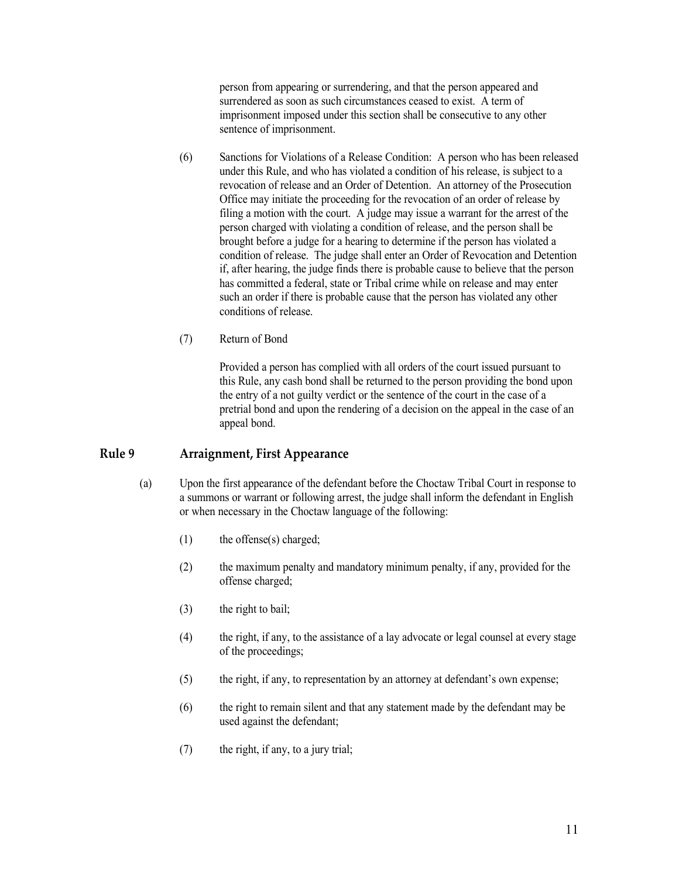person from appearing or surrendering, and that the person appeared and surrendered as soon as such circumstances ceased to exist. A term of imprisonment imposed under this section shall be consecutive to any other sentence of imprisonment.

- (6) Sanctions for Violations of a Release Condition: A person who has been released under this Rule, and who has violated a condition of his release, is subject to a revocation of release and an Order of Detention. An attorney of the Prosecution Office may initiate the proceeding for the revocation of an order of release by filing a motion with the court. A judge may issue a warrant for the arrest of the person charged with violating a condition of release, and the person shall be brought before a judge for a hearing to determine if the person has violated a condition of release. The judge shall enter an Order of Revocation and Detention if, after hearing, the judge finds there is probable cause to believe that the person has committed a federal, state or Tribal crime while on release and may enter such an order if there is probable cause that the person has violated any other conditions of release.
- (7) Return of Bond

Provided a person has complied with all orders of the court issued pursuant to this Rule, any cash bond shall be returned to the person providing the bond upon the entry of a not guilty verdict or the sentence of the court in the case of a pretrial bond and upon the rendering of a decision on the appeal in the case of an appeal bond.

### <span id="page-10-0"></span>**Rule 9 Arraignment, First Appearance**

- (a) Upon the first appearance of the defendant before the Choctaw Tribal Court in response to a summons or warrant or following arrest, the judge shall inform the defendant in English or when necessary in the Choctaw language of the following:
	- (1) the offense(s) charged;
	- (2) the maximum penalty and mandatory minimum penalty, if any, provided for the offense charged;
	- (3) the right to bail;
	- (4) the right, if any, to the assistance of a lay advocate or legal counsel at every stage of the proceedings;
	- (5) the right, if any, to representation by an attorney at defendant's own expense;
	- (6) the right to remain silent and that any statement made by the defendant may be used against the defendant;
	- (7) the right, if any, to a jury trial;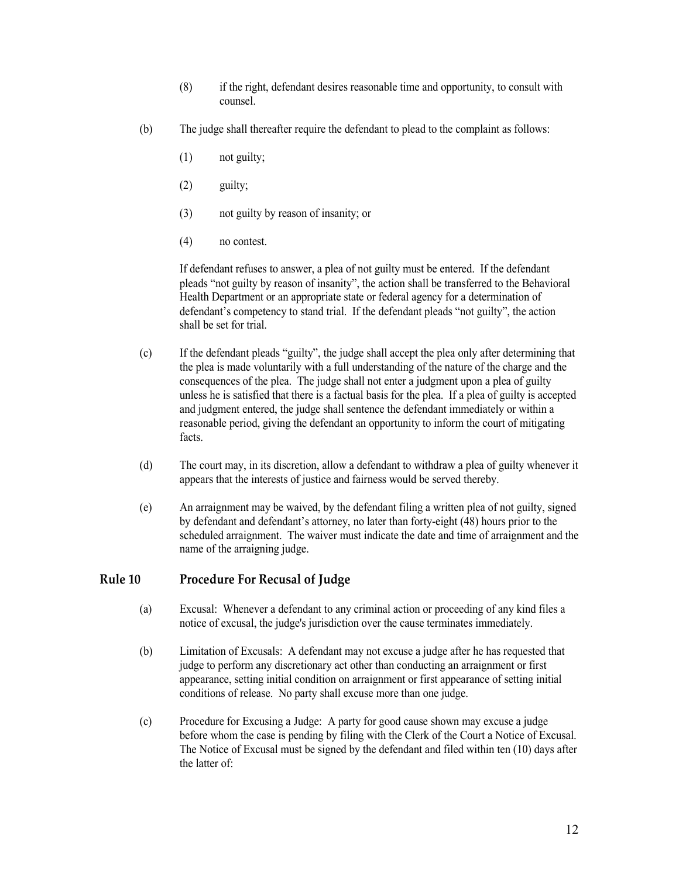- (8) if the right, defendant desires reasonable time and opportunity, to consult with counsel.
- (b) The judge shall thereafter require the defendant to plead to the complaint as follows:
	- (1) not guilty;
	- (2) guilty;
	- (3) not guilty by reason of insanity; or
	- (4) no contest.

If defendant refuses to answer, a plea of not guilty must be entered. If the defendant pleads "not guilty by reason of insanity", the action shall be transferred to the Behavioral Health Department or an appropriate state or federal agency for a determination of defendant's competency to stand trial. If the defendant pleads "not guilty", the action shall be set for trial.

- (c) If the defendant pleads "guilty", the judge shall accept the plea only after determining that the plea is made voluntarily with a full understanding of the nature of the charge and the consequences of the plea. The judge shall not enter a judgment upon a plea of guilty unless he is satisfied that there is a factual basis for the plea. If a plea of guilty is accepted and judgment entered, the judge shall sentence the defendant immediately or within a reasonable period, giving the defendant an opportunity to inform the court of mitigating facts.
- (d) The court may, in its discretion, allow a defendant to withdraw a plea of guilty whenever it appears that the interests of justice and fairness would be served thereby.
- (e) An arraignment may be waived, by the defendant filing a written plea of not guilty, signed by defendant and defendant's attorney, no later than forty-eight (48) hours prior to the scheduled arraignment. The waiver must indicate the date and time of arraignment and the name of the arraigning judge.

### <span id="page-11-0"></span>**Rule 10 Procedure For Recusal of Judge**

- (a) Excusal: Whenever a defendant to any criminal action or proceeding of any kind files a notice of excusal, the judge's jurisdiction over the cause terminates immediately.
- (b) Limitation of Excusals: A defendant may not excuse a judge after he has requested that judge to perform any discretionary act other than conducting an arraignment or first appearance, setting initial condition on arraignment or first appearance of setting initial conditions of release. No party shall excuse more than one judge.
- (c) Procedure for Excusing a Judge: A party for good cause shown may excuse a judge before whom the case is pending by filing with the Clerk of the Court a Notice of Excusal. The Notice of Excusal must be signed by the defendant and filed within ten (10) days after the latter of: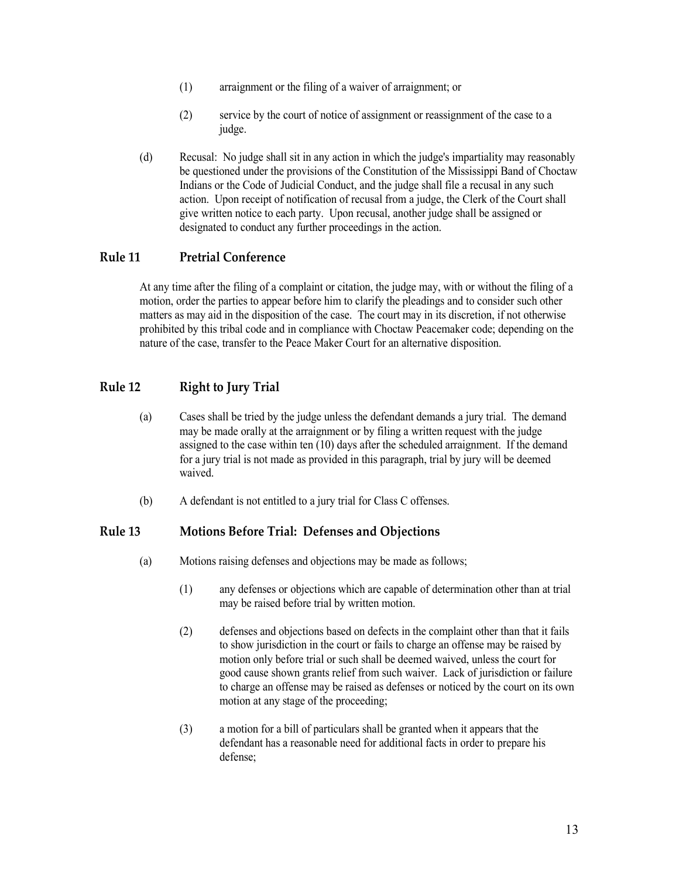- (1) arraignment or the filing of a waiver of arraignment; or
- (2) service by the court of notice of assignment or reassignment of the case to a judge.
- (d) Recusal: No judge shall sit in any action in which the judge's impartiality may reasonably be questioned under the provisions of the Constitution of the Mississippi Band of Choctaw Indians or the Code of Judicial Conduct, and the judge shall file a recusal in any such action. Upon receipt of notification of recusal from a judge, the Clerk of the Court shall give written notice to each party. Upon recusal, another judge shall be assigned or designated to conduct any further proceedings in the action.

### <span id="page-12-0"></span>**Rule 11 Pretrial Conference**

At any time after the filing of a complaint or citation, the judge may, with or without the filing of a motion, order the parties to appear before him to clarify the pleadings and to consider such other matters as may aid in the disposition of the case. The court may in its discretion, if not otherwise prohibited by this tribal code and in compliance with Choctaw Peacemaker code; depending on the nature of the case, transfer to the Peace Maker Court for an alternative disposition.

## <span id="page-12-1"></span>**Rule 12 Right to Jury Trial**

- (a) Cases shall be tried by the judge unless the defendant demands a jury trial. The demand may be made orally at the arraignment or by filing a written request with the judge assigned to the case within ten (10) days after the scheduled arraignment. If the demand for a jury trial is not made as provided in this paragraph, trial by jury will be deemed waived.
- (b) A defendant is not entitled to a jury trial for Class C offenses.

### <span id="page-12-2"></span>**Rule 13 Motions Before Trial: Defenses and Objections**

- (a) Motions raising defenses and objections may be made as follows;
	- (1) any defenses or objections which are capable of determination other than at trial may be raised before trial by written motion.
	- (2) defenses and objections based on defects in the complaint other than that it fails to show jurisdiction in the court or fails to charge an offense may be raised by motion only before trial or such shall be deemed waived, unless the court for good cause shown grants relief from such waiver. Lack of jurisdiction or failure to charge an offense may be raised as defenses or noticed by the court on its own motion at any stage of the proceeding;
	- (3) a motion for a bill of particulars shall be granted when it appears that the defendant has a reasonable need for additional facts in order to prepare his defense;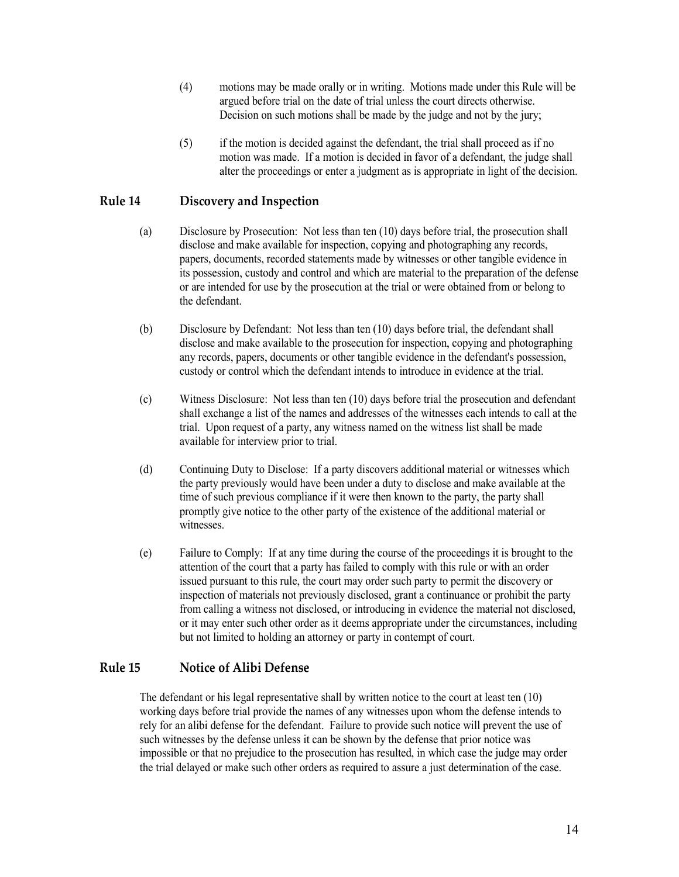- (4) motions may be made orally or in writing. Motions made under this Rule will be argued before trial on the date of trial unless the court directs otherwise. Decision on such motions shall be made by the judge and not by the jury;
- (5) if the motion is decided against the defendant, the trial shall proceed as if no motion was made. If a motion is decided in favor of a defendant, the judge shall alter the proceedings or enter a judgment as is appropriate in light of the decision.

# <span id="page-13-0"></span>**Rule 14 Discovery and Inspection**

- (a) Disclosure by Prosecution: Not less than ten (10) days before trial, the prosecution shall disclose and make available for inspection, copying and photographing any records, papers, documents, recorded statements made by witnesses or other tangible evidence in its possession, custody and control and which are material to the preparation of the defense or are intended for use by the prosecution at the trial or were obtained from or belong to the defendant.
- (b) Disclosure by Defendant: Not less than ten (10) days before trial, the defendant shall disclose and make available to the prosecution for inspection, copying and photographing any records, papers, documents or other tangible evidence in the defendant's possession, custody or control which the defendant intends to introduce in evidence at the trial.
- (c) Witness Disclosure: Not less than ten (10) days before trial the prosecution and defendant shall exchange a list of the names and addresses of the witnesses each intends to call at the trial. Upon request of a party, any witness named on the witness list shall be made available for interview prior to trial.
- (d) Continuing Duty to Disclose: If a party discovers additional material or witnesses which the party previously would have been under a duty to disclose and make available at the time of such previous compliance if it were then known to the party, the party shall promptly give notice to the other party of the existence of the additional material or witnesses.
- (e) Failure to Comply: If at any time during the course of the proceedings it is brought to the attention of the court that a party has failed to comply with this rule or with an order issued pursuant to this rule, the court may order such party to permit the discovery or inspection of materials not previously disclosed, grant a continuance or prohibit the party from calling a witness not disclosed, or introducing in evidence the material not disclosed, or it may enter such other order as it deems appropriate under the circumstances, including but not limited to holding an attorney or party in contempt of court.

## <span id="page-13-1"></span>**Rule 15 Notice of Alibi Defense**

The defendant or his legal representative shall by written notice to the court at least ten (10) working days before trial provide the names of any witnesses upon whom the defense intends to rely for an alibi defense for the defendant. Failure to provide such notice will prevent the use of such witnesses by the defense unless it can be shown by the defense that prior notice was impossible or that no prejudice to the prosecution has resulted, in which case the judge may order the trial delayed or make such other orders as required to assure a just determination of the case.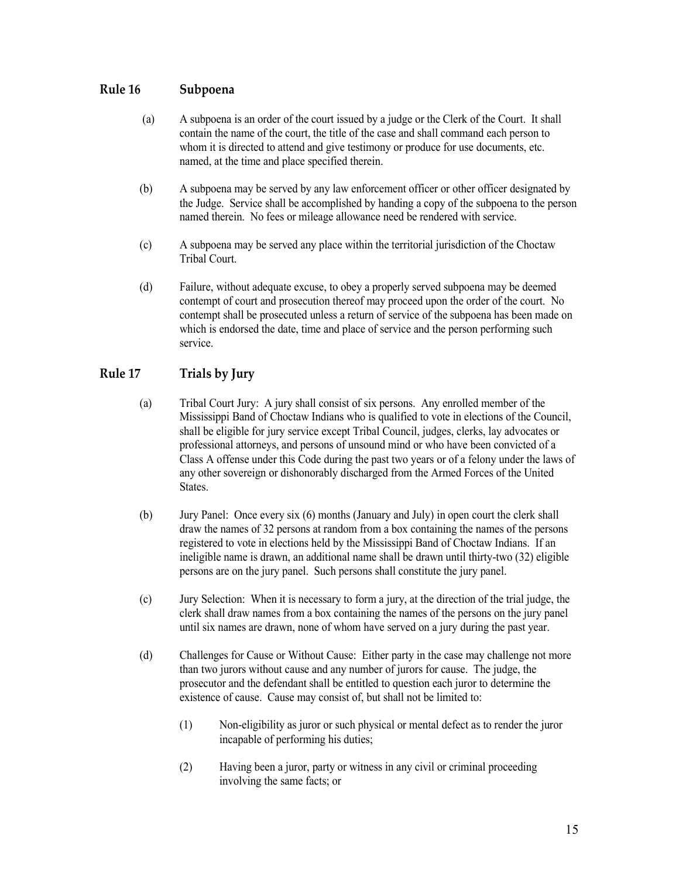## <span id="page-14-0"></span>**Rule 16 Subpoena**

- (a) A subpoena is an order of the court issued by a judge or the Clerk of the Court. It shall contain the name of the court, the title of the case and shall command each person to whom it is directed to attend and give testimony or produce for use documents, etc. named, at the time and place specified therein.
- (b) A subpoena may be served by any law enforcement officer or other officer designated by the Judge. Service shall be accomplished by handing a copy of the subpoena to the person named therein. No fees or mileage allowance need be rendered with service.
- (c) A subpoena may be served any place within the territorial jurisdiction of the Choctaw Tribal Court.
- (d) Failure, without adequate excuse, to obey a properly served subpoena may be deemed contempt of court and prosecution thereof may proceed upon the order of the court. No contempt shall be prosecuted unless a return of service of the subpoena has been made on which is endorsed the date, time and place of service and the person performing such service.

# <span id="page-14-1"></span>**Rule 17 Trials by Jury**

- (a) Tribal Court Jury: A jury shall consist of six persons. Any enrolled member of the Mississippi Band of Choctaw Indians who is qualified to vote in elections of the Council, shall be eligible for jury service except Tribal Council, judges, clerks, lay advocates or professional attorneys, and persons of unsound mind or who have been convicted of a Class A offense under this Code during the past two years or of a felony under the laws of any other sovereign or dishonorably discharged from the Armed Forces of the United States.
- (b) Jury Panel: Once every six (6) months (January and July) in open court the clerk shall draw the names of 32 persons at random from a box containing the names of the persons registered to vote in elections held by the Mississippi Band of Choctaw Indians. If an ineligible name is drawn, an additional name shall be drawn until thirty-two (32) eligible persons are on the jury panel. Such persons shall constitute the jury panel.
- (c) Jury Selection: When it is necessary to form a jury, at the direction of the trial judge, the clerk shall draw names from a box containing the names of the persons on the jury panel until six names are drawn, none of whom have served on a jury during the past year.
- (d) Challenges for Cause or Without Cause: Either party in the case may challenge not more than two jurors without cause and any number of jurors for cause. The judge, the prosecutor and the defendant shall be entitled to question each juror to determine the existence of cause. Cause may consist of, but shall not be limited to:
	- (1) Non-eligibility as juror or such physical or mental defect as to render the juror incapable of performing his duties;
	- (2) Having been a juror, party or witness in any civil or criminal proceeding involving the same facts; or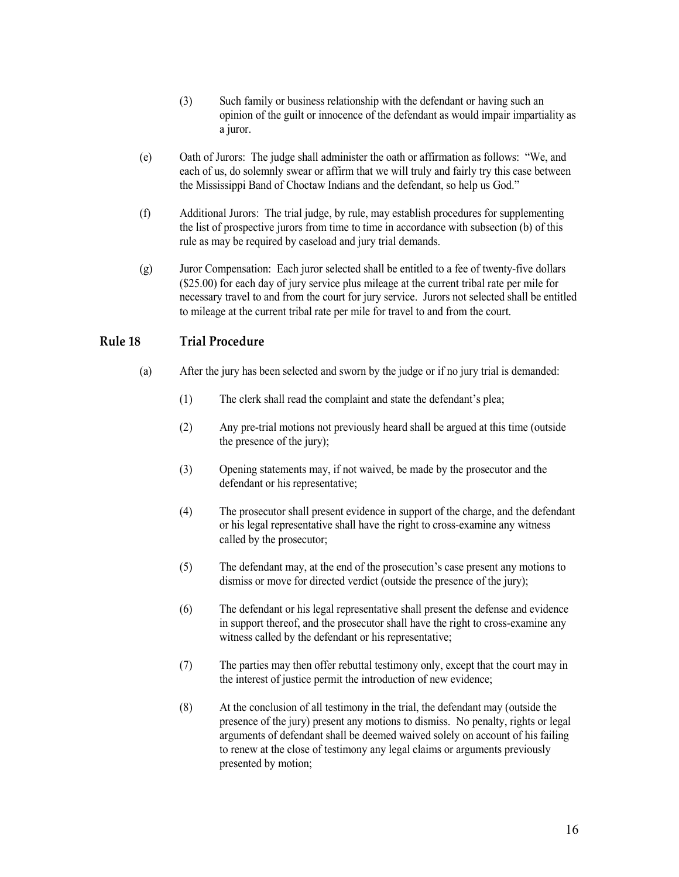- (3) Such family or business relationship with the defendant or having such an opinion of the guilt or innocence of the defendant as would impair impartiality as a juror.
- (e) Oath of Jurors: The judge shall administer the oath or affirmation as follows: "We, and each of us, do solemnly swear or affirm that we will truly and fairly try this case between the Mississippi Band of Choctaw Indians and the defendant, so help us God."
- (f) Additional Jurors: The trial judge, by rule, may establish procedures for supplementing the list of prospective jurors from time to time in accordance with subsection (b) of this rule as may be required by caseload and jury trial demands.
- (g) Juror Compensation: Each juror selected shall be entitled to a fee of twenty-five dollars (\$25.00) for each day of jury service plus mileage at the current tribal rate per mile for necessary travel to and from the court for jury service. Jurors not selected shall be entitled to mileage at the current tribal rate per mile for travel to and from the court.

## <span id="page-15-0"></span>**Rule 18 Trial Procedure**

- (a) After the jury has been selected and sworn by the judge or if no jury trial is demanded:
	- (1) The clerk shall read the complaint and state the defendant's plea;
	- (2) Any pre-trial motions not previously heard shall be argued at this time (outside the presence of the jury);
	- (3) Opening statements may, if not waived, be made by the prosecutor and the defendant or his representative;
	- (4) The prosecutor shall present evidence in support of the charge, and the defendant or his legal representative shall have the right to cross-examine any witness called by the prosecutor;
	- (5) The defendant may, at the end of the prosecution's case present any motions to dismiss or move for directed verdict (outside the presence of the jury);
	- (6) The defendant or his legal representative shall present the defense and evidence in support thereof, and the prosecutor shall have the right to cross-examine any witness called by the defendant or his representative;
	- (7) The parties may then offer rebuttal testimony only, except that the court may in the interest of justice permit the introduction of new evidence;
	- (8) At the conclusion of all testimony in the trial, the defendant may (outside the presence of the jury) present any motions to dismiss. No penalty, rights or legal arguments of defendant shall be deemed waived solely on account of his failing to renew at the close of testimony any legal claims or arguments previously presented by motion;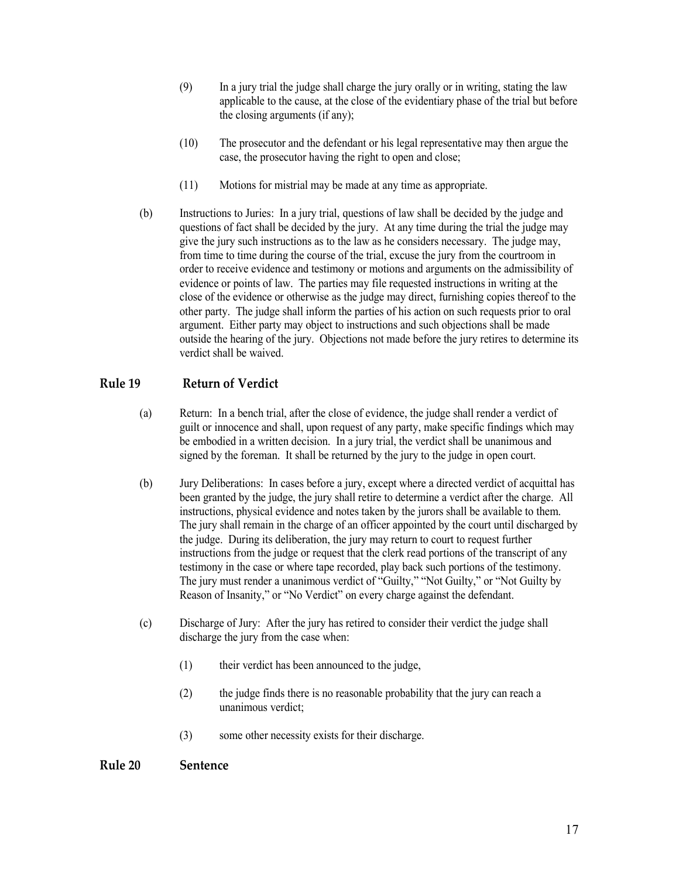- (9) In a jury trial the judge shall charge the jury orally or in writing, stating the law applicable to the cause, at the close of the evidentiary phase of the trial but before the closing arguments (if any);
- (10) The prosecutor and the defendant or his legal representative may then argue the case, the prosecutor having the right to open and close;
- (11) Motions for mistrial may be made at any time as appropriate.
- (b) Instructions to Juries: In a jury trial, questions of law shall be decided by the judge and questions of fact shall be decided by the jury. At any time during the trial the judge may give the jury such instructions as to the law as he considers necessary. The judge may, from time to time during the course of the trial, excuse the jury from the courtroom in order to receive evidence and testimony or motions and arguments on the admissibility of evidence or points of law. The parties may file requested instructions in writing at the close of the evidence or otherwise as the judge may direct, furnishing copies thereof to the other party. The judge shall inform the parties of his action on such requests prior to oral argument. Either party may object to instructions and such objections shall be made outside the hearing of the jury. Objections not made before the jury retires to determine its verdict shall be waived.

# <span id="page-16-0"></span>**Rule 19 Return of Verdict**

- (a) Return: In a bench trial, after the close of evidence, the judge shall render a verdict of guilt or innocence and shall, upon request of any party, make specific findings which may be embodied in a written decision. In a jury trial, the verdict shall be unanimous and signed by the foreman. It shall be returned by the jury to the judge in open court.
- (b) Jury Deliberations: In cases before a jury, except where a directed verdict of acquittal has been granted by the judge, the jury shall retire to determine a verdict after the charge. All instructions, physical evidence and notes taken by the jurors shall be available to them. The jury shall remain in the charge of an officer appointed by the court until discharged by the judge. During its deliberation, the jury may return to court to request further instructions from the judge or request that the clerk read portions of the transcript of any testimony in the case or where tape recorded, play back such portions of the testimony. The jury must render a unanimous verdict of "Guilty," "Not Guilty," or "Not Guilty by Reason of Insanity," or "No Verdict" on every charge against the defendant.
- (c) Discharge of Jury: After the jury has retired to consider their verdict the judge shall discharge the jury from the case when:
	- (1) their verdict has been announced to the judge,
	- (2) the judge finds there is no reasonable probability that the jury can reach a unanimous verdict;
	- (3) some other necessity exists for their discharge.

### <span id="page-16-1"></span>**Rule 20 Sentence**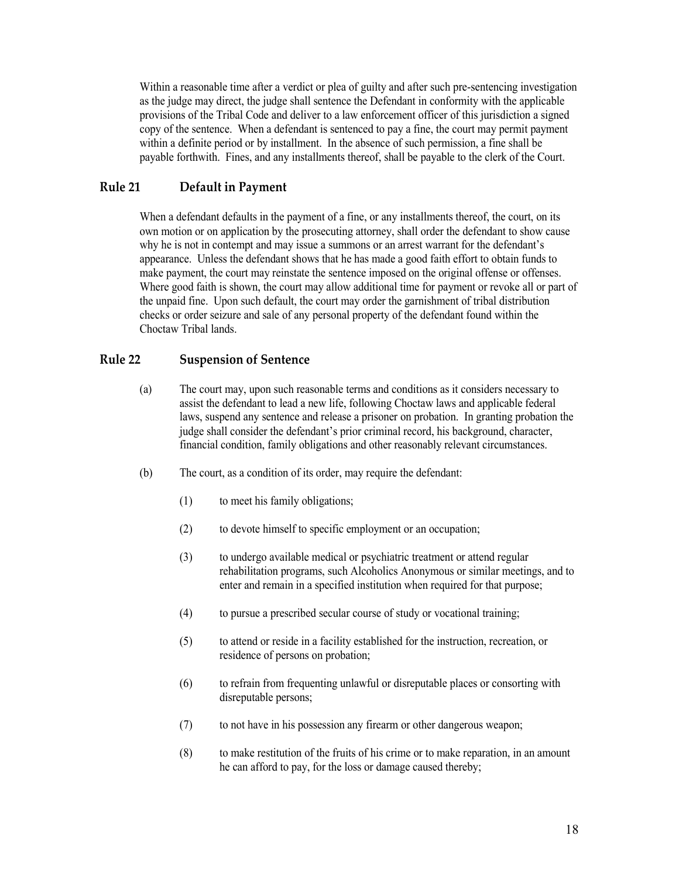Within a reasonable time after a verdict or plea of guilty and after such pre-sentencing investigation as the judge may direct, the judge shall sentence the Defendant in conformity with the applicable provisions of the Tribal Code and deliver to a law enforcement officer of this jurisdiction a signed copy of the sentence. When a defendant is sentenced to pay a fine, the court may permit payment within a definite period or by installment. In the absence of such permission, a fine shall be payable forthwith. Fines, and any installments thereof, shall be payable to the clerk of the Court.

### <span id="page-17-0"></span>**Rule 21 Default in Payment**

When a defendant defaults in the payment of a fine, or any installments thereof, the court, on its own motion or on application by the prosecuting attorney, shall order the defendant to show cause why he is not in contempt and may issue a summons or an arrest warrant for the defendant's appearance. Unless the defendant shows that he has made a good faith effort to obtain funds to make payment, the court may reinstate the sentence imposed on the original offense or offenses. Where good faith is shown, the court may allow additional time for payment or revoke all or part of the unpaid fine. Upon such default, the court may order the garnishment of tribal distribution checks or order seizure and sale of any personal property of the defendant found within the Choctaw Tribal lands.

## <span id="page-17-1"></span>**Rule 22 Suspension of Sentence**

- (a) The court may, upon such reasonable terms and conditions as it considers necessary to assist the defendant to lead a new life, following Choctaw laws and applicable federal laws, suspend any sentence and release a prisoner on probation. In granting probation the judge shall consider the defendant's prior criminal record, his background, character, financial condition, family obligations and other reasonably relevant circumstances.
- (b) The court, as a condition of its order, may require the defendant:
	- (1) to meet his family obligations;
	- (2) to devote himself to specific employment or an occupation;
	- (3) to undergo available medical or psychiatric treatment or attend regular rehabilitation programs, such Alcoholics Anonymous or similar meetings, and to enter and remain in a specified institution when required for that purpose;
	- (4) to pursue a prescribed secular course of study or vocational training;
	- (5) to attend or reside in a facility established for the instruction, recreation, or residence of persons on probation;
	- (6) to refrain from frequenting unlawful or disreputable places or consorting with disreputable persons;
	- (7) to not have in his possession any firearm or other dangerous weapon;
	- (8) to make restitution of the fruits of his crime or to make reparation, in an amount he can afford to pay, for the loss or damage caused thereby;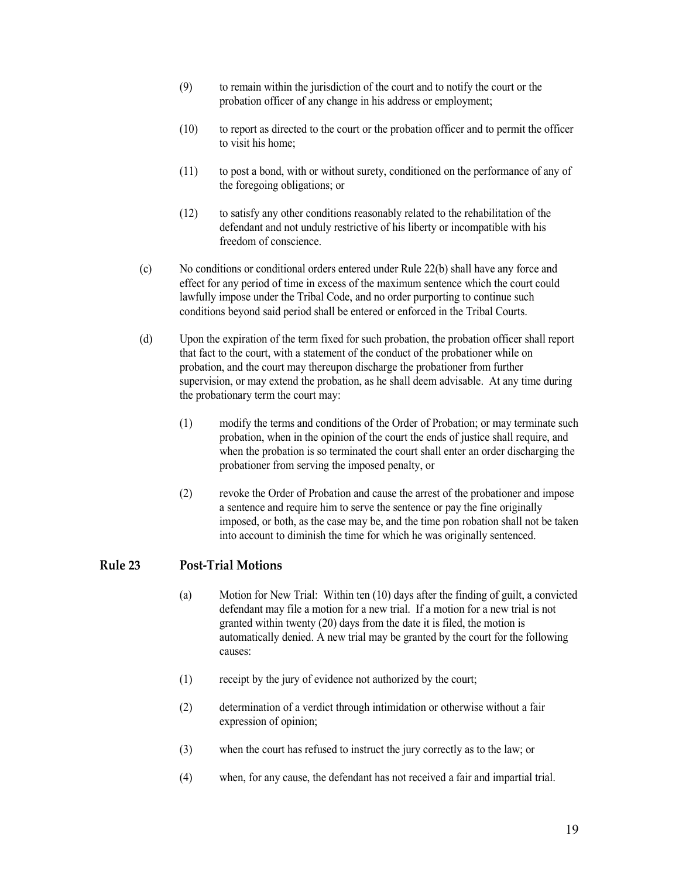- (9) to remain within the jurisdiction of the court and to notify the court or the probation officer of any change in his address or employment;
- (10) to report as directed to the court or the probation officer and to permit the officer to visit his home;
- (11) to post a bond, with or without surety, conditioned on the performance of any of the foregoing obligations; or
- (12) to satisfy any other conditions reasonably related to the rehabilitation of the defendant and not unduly restrictive of his liberty or incompatible with his freedom of conscience.
- (c) No conditions or conditional orders entered under Rule 22(b) shall have any force and effect for any period of time in excess of the maximum sentence which the court could lawfully impose under the Tribal Code, and no order purporting to continue such conditions beyond said period shall be entered or enforced in the Tribal Courts.
- (d) Upon the expiration of the term fixed for such probation, the probation officer shall report that fact to the court, with a statement of the conduct of the probationer while on probation, and the court may thereupon discharge the probationer from further supervision, or may extend the probation, as he shall deem advisable. At any time during the probationary term the court may:
	- (1) modify the terms and conditions of the Order of Probation; or may terminate such probation, when in the opinion of the court the ends of justice shall require, and when the probation is so terminated the court shall enter an order discharging the probationer from serving the imposed penalty, or
	- (2) revoke the Order of Probation and cause the arrest of the probationer and impose a sentence and require him to serve the sentence or pay the fine originally imposed, or both, as the case may be, and the time pon robation shall not be taken into account to diminish the time for which he was originally sentenced.

## <span id="page-18-0"></span>**Rule 23 Post-Trial Motions**

- (a) Motion for New Trial: Within ten (10) days after the finding of guilt, a convicted defendant may file a motion for a new trial. If a motion for a new trial is not granted within twenty (20) days from the date it is filed, the motion is automatically denied. A new trial may be granted by the court for the following causes:
- (1) receipt by the jury of evidence not authorized by the court;
- (2) determination of a verdict through intimidation or otherwise without a fair expression of opinion;
- (3) when the court has refused to instruct the jury correctly as to the law; or
- (4) when, for any cause, the defendant has not received a fair and impartial trial.